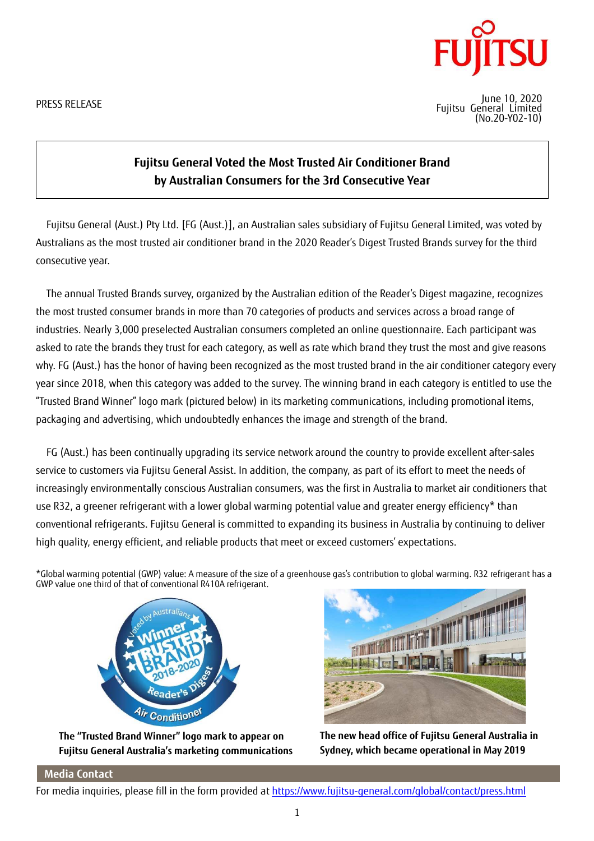PRESS RELEASE



June 10, 2020 Fujitsu General Limited (No.20-Y02-10)

## **Fujitsu General Voted the Most Trusted Air Conditioner Brand by Australian Consumers for the 3rd Consecutive Year**

Fujitsu General (Aust.) Pty Ltd. [FG (Aust.)], an Australian sales subsidiary of Fujitsu General Limited, was voted by Australians as the most trusted air conditioner brand in the 2020 Reader's Digest Trusted Brands survey for the third consecutive year.

The annual Trusted Brands survey, organized by the Australian edition of the Reader's Digest magazine, recognizes the most trusted consumer brands in more than 70 categories of products and services across a broad range of industries. Nearly 3,000 preselected Australian consumers completed an online questionnaire. Each participant was asked to rate the brands they trust for each category, as well as rate which brand they trust the most and give reasons why. FG (Aust.) has the honor of having been recognized as the most trusted brand in the air conditioner category every year since 2018, when this category was added to the survey. The winning brand in each category is entitled to use the "Trusted Brand Winner" logo mark (pictured below) in its marketing communications, including promotional items, packaging and advertising, which undoubtedly enhances the image and strength of the brand.

FG (Aust.) has been continually upgrading its service network around the country to provide excellent after-sales service to customers via Fujitsu General Assist. In addition, the company, as part of its effort to meet the needs of increasingly environmentally conscious Australian consumers, was the first in Australia to market air conditioners that use R32, a greener refrigerant with a lower global warming potential value and greater energy efficiency\* than conventional refrigerants. Fujitsu General is committed to expanding its business in Australia by continuing to deliver high quality, energy efficient, and reliable products that meet or exceed customers' expectations.

\*Global warming potential (GWP) value: A measure of the size of a greenhouse gas's contribution to global warming. R32 refrigerant has a GWP value one third of that of conventional R410A refrigerant.



The "Trusted Brand Winner" logo mark to appear on **Fujitsu General Australia's marketing communications** 



**The new head office of Fujitsu General Australia in Sydney, which became operational in May 2019** 

## **Media Contact**

For media inquiries, please fill in the form provided at https://www.fujitsu-general.com/global/contact/press.html